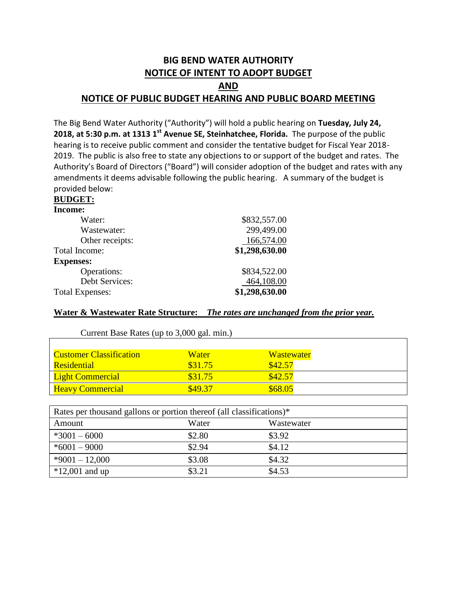# **BIG BEND WATER AUTHORITY NOTICE OF INTENT TO ADOPT BUDGET AND NOTICE OF PUBLIC BUDGET HEARING AND PUBLIC BOARD MEETING**

The Big Bend Water Authority ("Authority") will hold a public hearing on **Tuesday, July 24, 2018, at 5:30 p.m. at 1313 1st Avenue SE, Steinhatchee, Florida.** The purpose of the public hearing is to receive public comment and consider the tentative budget for Fiscal Year 2018- 2019. The public is also free to state any objections to or support of the budget and rates. The Authority's Board of Directors ("Board") will consider adoption of the budget and rates with any amendments it deems advisable following the public hearing. A summary of the budget is provided below:

### **BUDGET:**

| <b>Income:</b>         |                |
|------------------------|----------------|
| Water:                 | \$832,557.00   |
| Wastewater:            | 299,499.00     |
| Other receipts:        | 166,574.00     |
| Total Income:          | \$1,298,630.00 |
| <b>Expenses:</b>       |                |
| Operations:            | \$834,522.00   |
| <b>Debt Services:</b>  | 464,108.00     |
| <b>Total Expenses:</b> | \$1,298,630.00 |

Current Base Rates (up to 3,000 gal. min.)

### **Water & Wastewater Rate Structure:** *The rates are unchanged from the prior year.*

| <b>Customer Classification</b> | <b>Water</b> | <b>Wastewater</b> |
|--------------------------------|--------------|-------------------|
| <b>Residential</b>             | \$31.75      | \$42.57           |
| <b>Light Commercial</b>        | \$31.75      | \$42.57           |
| <b>Heavy Commercial</b>        | \$49.37      | \$68.05           |

| Rates per thousand gallons or portion thereof (all classifications)* |        |            |  |
|----------------------------------------------------------------------|--------|------------|--|
| Amount                                                               | Water  | Wastewater |  |
| $*3001 - 6000$                                                       | \$2.80 | \$3.92     |  |
| $*6001 - 9000$                                                       | \$2.94 | \$4.12     |  |
| $*9001 - 12,000$                                                     | \$3.08 | \$4.32     |  |
| $*12,001$ and up                                                     | \$3.21 | \$4.53     |  |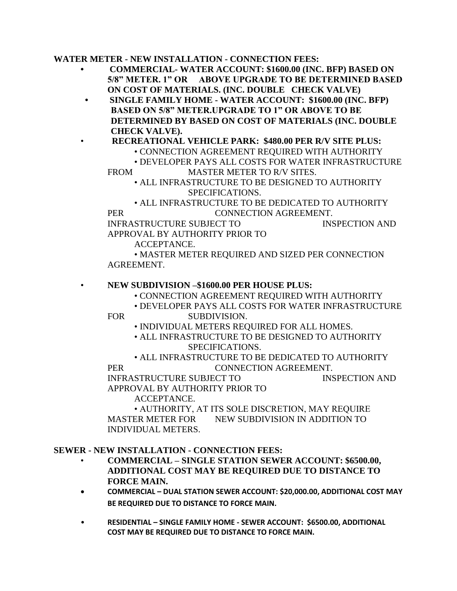## **WATER METER - NEW INSTALLATION - CONNECTION FEES:**

- **• COMMERCIAL- WATER ACCOUNT: \$1600.00 (INC. BFP) BASED ON 5/8" METER. 1" OR ABOVE UPGRADE TO BE DETERMINED BASED ON COST OF MATERIALS. (INC. DOUBLE CHECK VALVE)**
- **• SINGLE FAMILY HOME - WATER ACCOUNT: \$1600.00 (INC. BFP) BASED ON 5/8" METER.UPGRADE TO 1" OR ABOVE TO BE DETERMINED BY BASED ON COST OF MATERIALS (INC. DOUBLE CHECK VALVE).**
- **RECREATIONAL VEHICLE PARK: \$480.00 PER R/V SITE PLUS:**
	- CONNECTION AGREEMENT REQUIRED WITH AUTHORITY

• DEVELOPER PAYS ALL COSTS FOR WATER INFRASTRUCTURE FROM MASTER METER TO R/V SITES.

• ALL INFRASTRUCTURE TO BE DESIGNED TO AUTHORITY SPECIFICATIONS.

• ALL INFRASTRUCTURE TO BE DEDICATED TO AUTHORITY PER CONNECTION AGREEMENT.

INFRASTRUCTURE SUBJECT TO INSPECTION AND APPROVAL BY AUTHORITY PRIOR TO

ACCEPTANCE.

• MASTER METER REQUIRED AND SIZED PER CONNECTION AGREEMENT.

### • **NEW SUBDIVISION –\$1600.00 PER HOUSE PLUS:**

• CONNECTION AGREEMENT REQUIRED WITH AUTHORITY

• DEVELOPER PAYS ALL COSTS FOR WATER INFRASTRUCTURE FOR SUBDIVISION.

• INDIVIDUAL METERS REQUIRED FOR ALL HOMES.

• ALL INFRASTRUCTURE TO BE DESIGNED TO AUTHORITY SPECIFICATIONS.

• ALL INFRASTRUCTURE TO BE DEDICATED TO AUTHORITY PER CONNECTION AGREEMENT. INFRASTRUCTURE SUBJECT TO INSPECTION AND

APPROVAL BY AUTHORITY PRIOR TO

ACCEPTANCE.

• AUTHORITY, AT ITS SOLE DISCRETION, MAY REQUIRE MASTER METER FOR NEW SUBDIVISION IN ADDITION TO INDIVIDUAL METERS.

### **SEWER - NEW INSTALLATION - CONNECTION FEES:**

- **COMMERCIAL – SINGLE STATION SEWER ACCOUNT: \$6500.00, ADDITIONAL COST MAY BE REQUIRED DUE TO DISTANCE TO FORCE MAIN.**
- **COMMERCIAL – DUAL STATION SEWER ACCOUNT: \$20,000.00, ADDITIONAL COST MAY BE REQUIRED DUE TO DISTANCE TO FORCE MAIN.**
- **RESIDENTIAL – SINGLE FAMILY HOME - SEWER ACCOUNT: \$6500.00, ADDITIONAL COST MAY BE REQUIRED DUE TO DISTANCE TO FORCE MAIN.**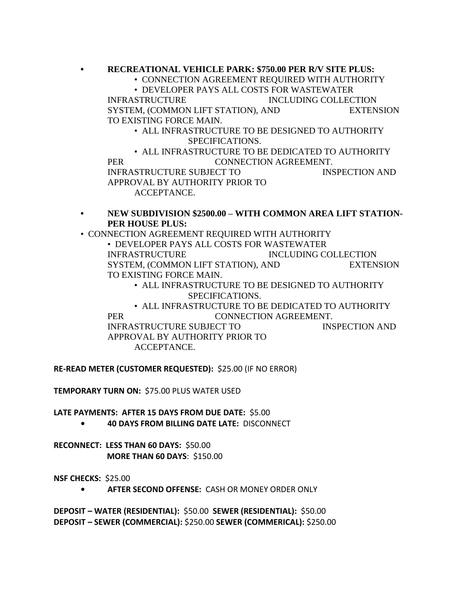#### **• RECREATIONAL VEHICLE PARK: \$750.00 PER R/V SITE PLUS:**

• CONNECTION AGREEMENT REQUIRED WITH AUTHORITY

• DEVELOPER PAYS ALL COSTS FOR WASTEWATER INFRASTRUCTURE INCLUDING COLLECTION SYSTEM, (COMMON LIFT STATION), AND EXTENSION

TO EXISTING FORCE MAIN.

• ALL INFRASTRUCTURE TO BE DESIGNED TO AUTHORITY SPECIFICATIONS.

• ALL INFRASTRUCTURE TO BE DEDICATED TO AUTHORITY PER CONNECTION AGREEMENT. INFRASTRUCTURE SUBJECT TO INSPECTION AND APPROVAL BY AUTHORITY PRIOR TO ACCEPTANCE.

**• NEW SUBDIVISION \$2500.00 – WITH COMMON AREA LIFT STATION-PER HOUSE PLUS:**

• CONNECTION AGREEMENT REQUIRED WITH AUTHORITY • DEVELOPER PAYS ALL COSTS FOR WASTEWATER INFRASTRUCTURE INCLUDING COLLECTION SYSTEM, (COMMON LIFT STATION), AND EXTENSION TO EXISTING FORCE MAIN.

> • ALL INFRASTRUCTURE TO BE DESIGNED TO AUTHORITY SPECIFICATIONS.

• ALL INFRASTRUCTURE TO BE DEDICATED TO AUTHORITY PER CONNECTION AGREEMENT. INFRASTRUCTURE SUBJECT TO INSPECTION AND

APPROVAL BY AUTHORITY PRIOR TO ACCEPTANCE.

**RE-READ METER (CUSTOMER REQUESTED):** \$25.00 (IF NO ERROR)

**TEMPORARY TURN ON:** \$75.00 PLUS WATER USED

#### **LATE PAYMENTS: AFTER 15 DAYS FROM DUE DATE:** \$5.00

**• 40 DAYS FROM BILLING DATE LATE:** DISCONNECT

**RECONNECT: LESS THAN 60 DAYS:** \$50.00  **MORE THAN 60 DAYS**: \$150.00

**NSF CHECKS:** \$25.00

**• AFTER SECOND OFFENSE:** CASH OR MONEY ORDER ONLY

**DEPOSIT – WATER (RESIDENTIAL):** \$50.00 **SEWER (RESIDENTIAL):** \$50.00 **DEPOSIT – SEWER (COMMERCIAL):** \$250.00 **SEWER (COMMERICAL):** \$250.00